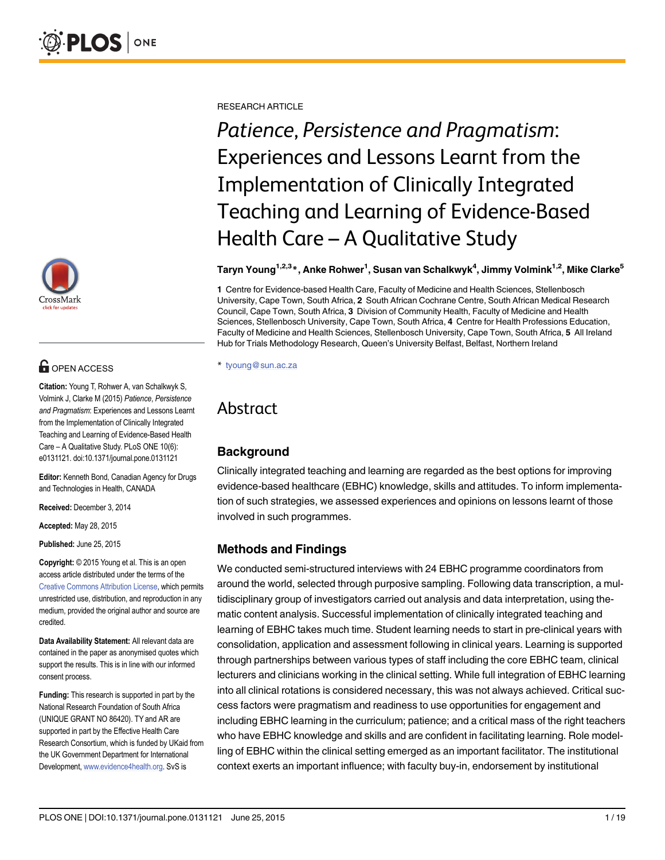

# **G** OPEN ACCESS

Citation: Young T, Rohwer A, van Schalkwyk S, Volmink J, Clarke M (2015) Patience, Persistence and Pragmatism: Experiences and Lessons Learnt from the Implementation of Clinically Integrated Teaching and Learning of Evidence-Based Health Care – A Qualitative Study. PLoS ONE 10(6): e0131121. doi:10.1371/journal.pone.0131121

Editor: Kenneth Bond, Canadian Agency for Drugs and Technologies in Health, CANADA

Received: December 3, 2014

Accepted: May 28, 2015

Published: June 25, 2015

Copyright: © 2015 Young et al. This is an open access article distributed under the terms of the [Creative Commons Attribution License,](http://creativecommons.org/licenses/by/4.0/) which permits unrestricted use, distribution, and reproduction in any medium, provided the original author and source are credited.

Data Availability Statement: All relevant data are contained in the paper as anonymised quotes which support the results. This is in line with our informed consent process.

Funding: This research is supported in part by the National Research Foundation of South Africa (UNIQUE GRANT NO 86420). TY and AR are supported in part by the Effective Health Care Research Consortium, which is funded by UKaid from the UK Government Department for International Development, [www.evidence4health.org.](http://www.evidence4health.org) SvS is

RESEARCH ARTICLE

Patience, Persistence and Pragmatism: Experiences and Lessons Learnt from the Implementation of Clinically Integrated Teaching and Learning of Evidence-Based Health Care – A Qualitative Study

### Taryn Young<sup>1,2,3</sup>\*, Anke Rohwer<sup>1</sup>, Susan van Schalkwyk<sup>4</sup>, Jimmy Volmink<sup>1,2</sup>, Mike Clarke<sup>5</sup>

1 Centre for Evidence-based Health Care, Faculty of Medicine and Health Sciences, Stellenbosch University, Cape Town, South Africa, 2 South African Cochrane Centre, South African Medical Research Council, Cape Town, South Africa, 3 Division of Community Health, Faculty of Medicine and Health Sciences, Stellenbosch University, Cape Town, South Africa, 4 Centre for Health Professions Education, Faculty of Medicine and Health Sciences, Stellenbosch University, Cape Town, South Africa, 5 All Ireland Hub for Trials Methodology Research, Queen's University Belfast, Belfast, Northern Ireland

\* tyoung@sun.ac.za

# Abstract

# **Background**

Clinically integrated teaching and learning are regarded as the best options for improving evidence-based healthcare (EBHC) knowledge, skills and attitudes. To inform implementation of such strategies, we assessed experiences and opinions on lessons learnt of those involved in such programmes.

# Methods and Findings

We conducted semi-structured interviews with 24 EBHC programme coordinators from around the world, selected through purposive sampling. Following data transcription, a multidisciplinary group of investigators carried out analysis and data interpretation, using thematic content analysis. Successful implementation of clinically integrated teaching and learning of EBHC takes much time. Student learning needs to start in pre-clinical years with consolidation, application and assessment following in clinical years. Learning is supported through partnerships between various types of staff including the core EBHC team, clinical lecturers and clinicians working in the clinical setting. While full integration of EBHC learning into all clinical rotations is considered necessary, this was not always achieved. Critical success factors were pragmatism and readiness to use opportunities for engagement and including EBHC learning in the curriculum; patience; and a critical mass of the right teachers who have EBHC knowledge and skills and are confident in facilitating learning. Role modelling of EBHC within the clinical setting emerged as an important facilitator. The institutional context exerts an important influence; with faculty buy-in, endorsement by institutional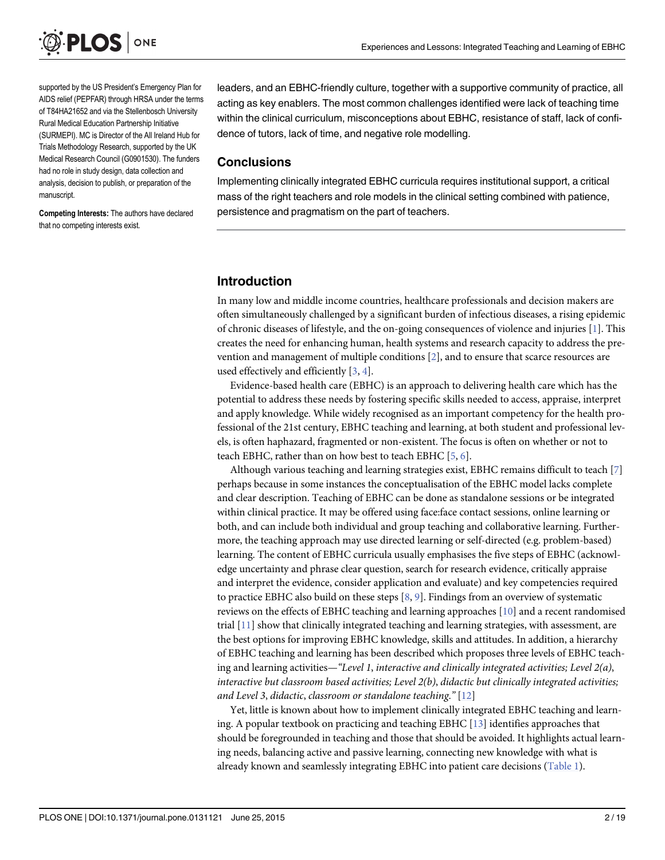<span id="page-1-0"></span>

supported by the US President's Emergency Plan for AIDS relief (PEPFAR) through HRSA under the terms of T84HA21652 and via the Stellenbosch University Rural Medical Education Partnership Initiative (SURMEPI). MC is Director of the All Ireland Hub for Trials Methodology Research, supported by the UK Medical Research Council (G0901530). The funders had no role in study design, data collection and analysis, decision to publish, or preparation of the manuscript.

Competing Interests: The authors have declared that no competing interests exist.

leaders, and an EBHC-friendly culture, together with a supportive community of practice, all acting as key enablers. The most common challenges identified were lack of teaching time within the clinical curriculum, misconceptions about EBHC, resistance of staff, lack of confidence of tutors, lack of time, and negative role modelling.

### **Conclusions**

Implementing clinically integrated EBHC curricula requires institutional support, a critical mass of the right teachers and role models in the clinical setting combined with patience, persistence and pragmatism on the part of teachers.

# Introduction

In many low and middle income countries, healthcare professionals and decision makers are often simultaneously challenged by a significant burden of infectious diseases, a rising epidemic of chronic diseases of lifestyle, and the on-going consequences of violence and injuries [\[1](#page-17-0)]. This creates the need for enhancing human, health systems and research capacity to address the prevention and management of multiple conditions [\[2\]](#page-17-0), and to ensure that scarce resources are used effectively and efficiently  $[3, 4]$  $[3, 4]$  $[3, 4]$  $[3, 4]$ .

Evidence-based health care (EBHC) is an approach to delivering health care which has the potential to address these needs by fostering specific skills needed to access, appraise, interpret and apply knowledge. While widely recognised as an important competency for the health professional of the 21st century, EBHC teaching and learning, at both student and professional levels, is often haphazard, fragmented or non-existent. The focus is often on whether or not to teach EBHC, rather than on how best to teach EBHC [[5,](#page-17-0) [6\]](#page-17-0).

Although various teaching and learning strategies exist, EBHC remains difficult to teach  $[7]$  $[7]$ perhaps because in some instances the conceptualisation of the EBHC model lacks complete and clear description. Teaching of EBHC can be done as standalone sessions or be integrated within clinical practice. It may be offered using face:face contact sessions, online learning or both, and can include both individual and group teaching and collaborative learning. Furthermore, the teaching approach may use directed learning or self-directed (e.g. problem-based) learning. The content of EBHC curricula usually emphasises the five steps of EBHC (acknowledge uncertainty and phrase clear question, search for research evidence, critically appraise and interpret the evidence, consider application and evaluate) and key competencies required to practice EBHC also build on these steps  $[8, 9]$  $[8, 9]$  $[8, 9]$  $[8, 9]$ . Findings from an overview of systematic reviews on the effects of EBHC teaching and learning approaches [[10](#page-17-0)] and a recent randomised trial  $[11]$  $[11]$  $[11]$  show that clinically integrated teaching and learning strategies, with assessment, are the best options for improving EBHC knowledge, skills and attitudes. In addition, a hierarchy of EBHC teaching and learning has been described which proposes three levels of EBHC teaching and learning activities—"Level 1, interactive and clinically integrated activities; Level 2(a), interactive but classroom based activities; Level 2(b), didactic but clinically integrated activities; and Level 3, didactic, classroom or standalone teaching."  $[12]$  $[12]$  $[12]$ 

Yet, little is known about how to implement clinically integrated EBHC teaching and learning. A popular textbook on practicing and teaching EBHC [[13](#page-18-0)] identifies approaches that should be foregrounded in teaching and those that should be avoided. It highlights actual learning needs, balancing active and passive learning, connecting new knowledge with what is already known and seamlessly integrating EBHC into patient care decisions [\(Table 1](#page-2-0)).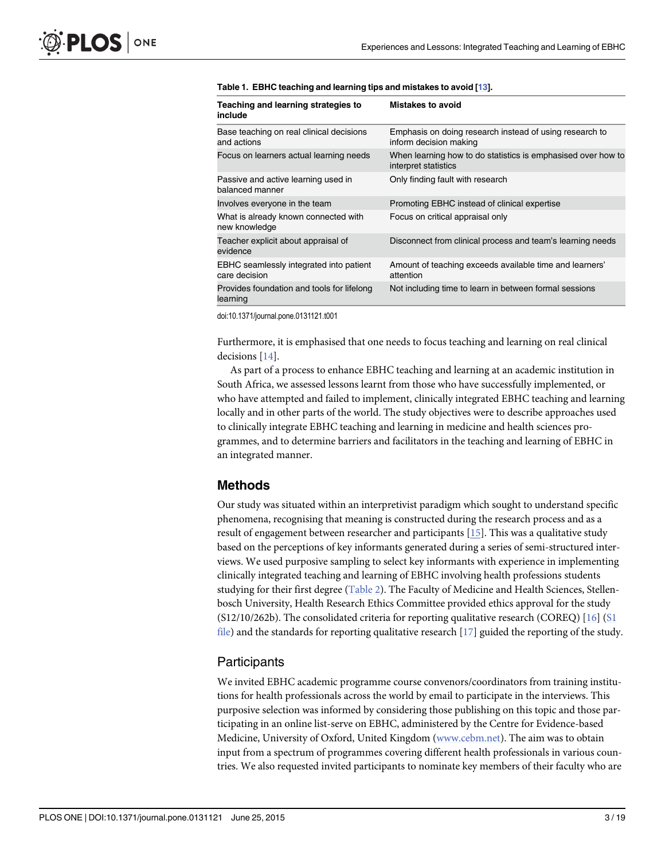<span id="page-2-0"></span>

| Teaching and learning strategies to<br>include           | Mistakes to avoid                                                                    |
|----------------------------------------------------------|--------------------------------------------------------------------------------------|
| Base teaching on real clinical decisions<br>and actions  | Emphasis on doing research instead of using research to<br>inform decision making    |
| Focus on learners actual learning needs                  | When learning how to do statistics is emphasised over how to<br>interpret statistics |
| Passive and active learning used in<br>balanced manner   | Only finding fault with research                                                     |
| Involves everyone in the team                            | Promoting EBHC instead of clinical expertise                                         |
| What is already known connected with<br>new knowledge    | Focus on critical appraisal only                                                     |
| Teacher explicit about appraisal of<br>evidence          | Disconnect from clinical process and team's learning needs                           |
| EBHC seamlessly integrated into patient<br>care decision | Amount of teaching exceeds available time and learners'<br>attention                 |
| Provides foundation and tools for lifelong<br>learning   | Not including time to learn in between formal sessions                               |

| Table 1. EBHC teaching and learning tips and mistakes to avoid [13]. |  |  |  |
|----------------------------------------------------------------------|--|--|--|
|----------------------------------------------------------------------|--|--|--|

doi:10.1371/journal.pone.0131121.t001

Furthermore, it is emphasised that one needs to focus teaching and learning on real clinical decisions [\[14\]](#page-18-0).

As part of a process to enhance EBHC teaching and learning at an academic institution in South Africa, we assessed lessons learnt from those who have successfully implemented, or who have attempted and failed to implement, clinically integrated EBHC teaching and learning locally and in other parts of the world. The study objectives were to describe approaches used to clinically integrate EBHC teaching and learning in medicine and health sciences programmes, and to determine barriers and facilitators in the teaching and learning of EBHC in an integrated manner.

### Methods

Our study was situated within an interpretivist paradigm which sought to understand specific phenomena, recognising that meaning is constructed during the research process and as a result of engagement between researcher and participants [\[15\]](#page-18-0). This was a qualitative study based on the perceptions of key informants generated during a series of semi-structured interviews. We used purposive sampling to select key informants with experience in implementing clinically integrated teaching and learning of EBHC involving health professions students studying for their first degree ([Table 2](#page-3-0)). The Faculty of Medicine and Health Sciences, Stellenbosch University, Health Research Ethics Committee provided ethics approval for the study (S12/10/262b). The consolidated criteria for reporting qualitative research (COREQ) [[16\]](#page-18-0) ([S1](#page-17-0) [file](#page-17-0)) and the standards for reporting qualitative research [\[17](#page-18-0)] guided the reporting of the study.

# Participants

We invited EBHC academic programme course convenors/coordinators from training institutions for health professionals across the world by email to participate in the interviews. This purposive selection was informed by considering those publishing on this topic and those participating in an online list-serve on EBHC, administered by the Centre for Evidence-based Medicine, University of Oxford, United Kingdom [\(www.cebm.net\)](http://www.cebm.net/). The aim was to obtain input from a spectrum of programmes covering different health professionals in various countries. We also requested invited participants to nominate key members of their faculty who are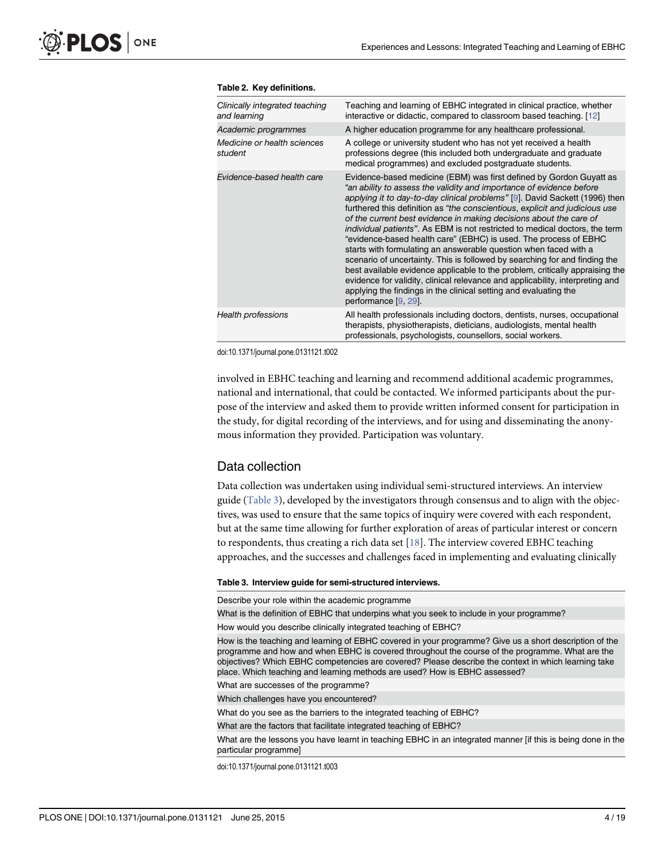#### <span id="page-3-0"></span>[Table 2.](#page-2-0) Key definitions.

| Clinically integrated teaching<br>and learning | Teaching and learning of EBHC integrated in clinical practice, whether<br>interactive or didactic, compared to classroom based teaching. [12]                                                                                                                                                                                                                                                                                                                                                                                                                                                                                                                                                                                                                                                                                                                                                                                                     |
|------------------------------------------------|---------------------------------------------------------------------------------------------------------------------------------------------------------------------------------------------------------------------------------------------------------------------------------------------------------------------------------------------------------------------------------------------------------------------------------------------------------------------------------------------------------------------------------------------------------------------------------------------------------------------------------------------------------------------------------------------------------------------------------------------------------------------------------------------------------------------------------------------------------------------------------------------------------------------------------------------------|
| Academic programmes                            | A higher education programme for any healthcare professional.                                                                                                                                                                                                                                                                                                                                                                                                                                                                                                                                                                                                                                                                                                                                                                                                                                                                                     |
| Medicine or health sciences<br>student         | A college or university student who has not yet received a health<br>professions degree (this included both undergraduate and graduate<br>medical programmes) and excluded postgraduate students.                                                                                                                                                                                                                                                                                                                                                                                                                                                                                                                                                                                                                                                                                                                                                 |
| Evidence-based health care                     | Evidence-based medicine (EBM) was first defined by Gordon Guyatt as<br>"an ability to assess the validity and importance of evidence before<br>applying it to day-to-day clinical problems" [9]. David Sackett (1996) then<br>furthered this definition as "the conscientious, explicit and judicious use<br>of the current best evidence in making decisions about the care of<br>individual patients". As EBM is not restricted to medical doctors, the term<br>"evidence-based health care" (EBHC) is used. The process of EBHC<br>starts with formulating an answerable question when faced with a<br>scenario of uncertainty. This is followed by searching for and finding the<br>best available evidence applicable to the problem, critically appraising the<br>evidence for validity, clinical relevance and applicability, interpreting and<br>applying the findings in the clinical setting and evaluating the<br>performance [9, 29]. |
| Health professions                             | All health professionals including doctors, dentists, nurses, occupational<br>therapists, physiotherapists, dieticians, audiologists, mental health<br>professionals, psychologists, counsellors, social workers.                                                                                                                                                                                                                                                                                                                                                                                                                                                                                                                                                                                                                                                                                                                                 |

doi:10.1371/journal.pone.0131121.t002

involved in EBHC teaching and learning and recommend additional academic programmes, national and international, that could be contacted. We informed participants about the purpose of the interview and asked them to provide written informed consent for participation in the study, for digital recording of the interviews, and for using and disseminating the anonymous information they provided. Participation was voluntary.

# Data collection

Data collection was undertaken using individual semi-structured interviews. An interview guide ( $Table 3$ ), developed by the investigators through consensus and to align with the objectives, was used to ensure that the same topics of inquiry were covered with each respondent, but at the same time allowing for further exploration of areas of particular interest or concern to respondents, thus creating a rich data set  $[18]$ . The interview covered EBHC teaching approaches, and the successes and challenges faced in implementing and evaluating clinically

#### Table 3. Interview guide for semi-structured interviews.

Describe your role within the academic programme

What is the definition of EBHC that underpins what you seek to include in your programme?

How would you describe clinically integrated teaching of EBHC?

How is the teaching and learning of EBHC covered in your programme? Give us a short description of the programme and how and when EBHC is covered throughout the course of the programme. What are the objectives? Which EBHC competencies are covered? Please describe the context in which learning take place. Which teaching and learning methods are used? How is EBHC assessed?

What are successes of the programme?

Which challenges have you encountered?

What do you see as the barriers to the integrated teaching of EBHC?

What are the factors that facilitate integrated teaching of EBHC?

What are the lessons you have learnt in teaching EBHC in an integrated manner [if this is being done in the particular programme]

doi:10.1371/journal.pone.0131121.t003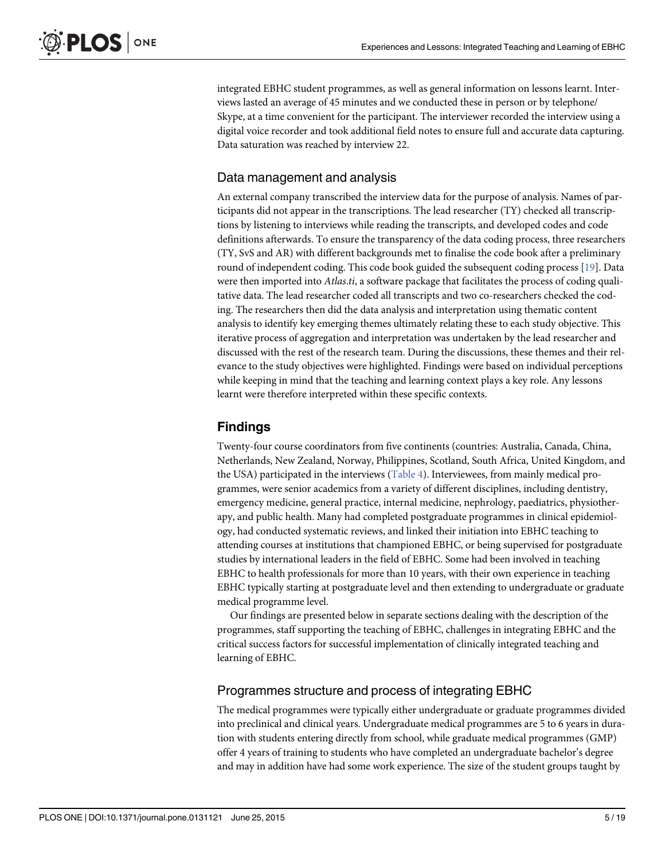<span id="page-4-0"></span>integrated EBHC student programmes, as well as general information on lessons learnt. Interviews lasted an average of 45 minutes and we conducted these in person or by telephone/ Skype, at a time convenient for the participant. The interviewer recorded the interview using a digital voice recorder and took additional field notes to ensure full and accurate data capturing. Data saturation was reached by interview 22.

# Data management and analysis

An external company transcribed the interview data for the purpose of analysis. Names of participants did not appear in the transcriptions. The lead researcher (TY) checked all transcriptions by listening to interviews while reading the transcripts, and developed codes and code definitions afterwards. To ensure the transparency of the data coding process, three researchers (TY, SvS and AR) with different backgrounds met to finalise the code book after a preliminary round of independent coding. This code book guided the subsequent coding process [\[19\]](#page-18-0). Data were then imported into Atlas.ti, a software package that facilitates the process of coding qualitative data. The lead researcher coded all transcripts and two co-researchers checked the coding. The researchers then did the data analysis and interpretation using thematic content analysis to identify key emerging themes ultimately relating these to each study objective. This iterative process of aggregation and interpretation was undertaken by the lead researcher and discussed with the rest of the research team. During the discussions, these themes and their relevance to the study objectives were highlighted. Findings were based on individual perceptions while keeping in mind that the teaching and learning context plays a key role. Any lessons learnt were therefore interpreted within these specific contexts.

# Findings

Twenty-four course coordinators from five continents (countries: Australia, Canada, China, Netherlands, New Zealand, Norway, Philippines, Scotland, South Africa, United Kingdom, and the USA) participated in the interviews ( $Table 4$ ). Interviewees, from mainly medical programmes, were senior academics from a variety of different disciplines, including dentistry, emergency medicine, general practice, internal medicine, nephrology, paediatrics, physiotherapy, and public health. Many had completed postgraduate programmes in clinical epidemiology, had conducted systematic reviews, and linked their initiation into EBHC teaching to attending courses at institutions that championed EBHC, or being supervised for postgraduate studies by international leaders in the field of EBHC. Some had been involved in teaching EBHC to health professionals for more than 10 years, with their own experience in teaching EBHC typically starting at postgraduate level and then extending to undergraduate or graduate medical programme level.

Our findings are presented below in separate sections dealing with the description of the programmes, staff supporting the teaching of EBHC, challenges in integrating EBHC and the critical success factors for successful implementation of clinically integrated teaching and learning of EBHC.

# Programmes structure and process of integrating EBHC

The medical programmes were typically either undergraduate or graduate programmes divided into preclinical and clinical years. Undergraduate medical programmes are 5 to 6 years in duration with students entering directly from school, while graduate medical programmes (GMP) offer 4 years of training to students who have completed an undergraduate bachelor's degree and may in addition have had some work experience. The size of the student groups taught by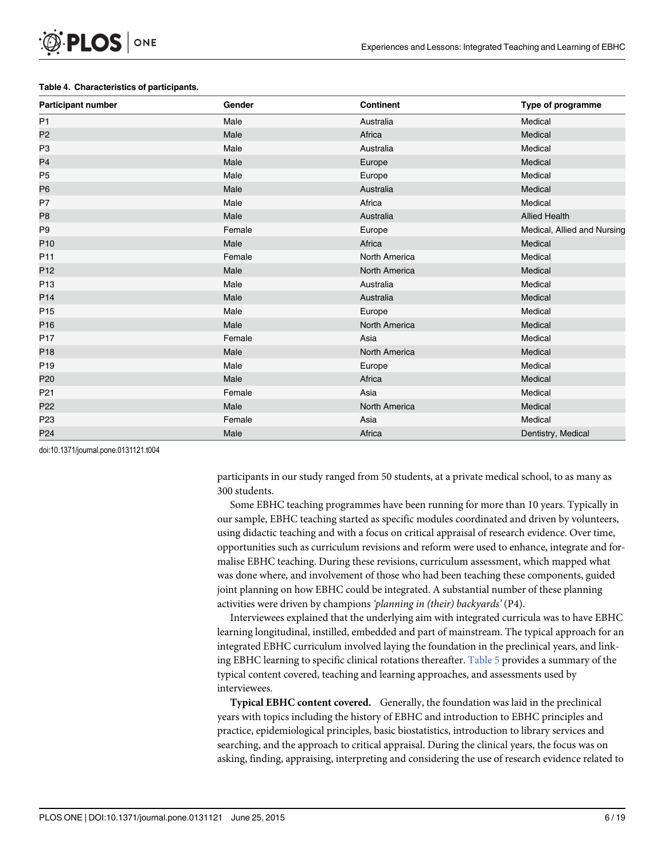#### <span id="page-5-0"></span>[Table 4.](#page-4-0) Characteristics of participants.

| <b>Participant number</b> | Gender | <b>Continent</b> | Type of programme           |
|---------------------------|--------|------------------|-----------------------------|
| P <sub>1</sub>            | Male   | Australia        | Medical                     |
| P <sub>2</sub>            | Male   | Africa           | Medical                     |
| P <sub>3</sub>            | Male   | Australia        | Medical                     |
| P <sub>4</sub>            | Male   | Europe           | Medical                     |
| P <sub>5</sub>            | Male   | Europe           | Medical                     |
| P <sub>6</sub>            | Male   | Australia        | Medical                     |
| P7                        | Male   | Africa           | Medical                     |
| P <sub>8</sub>            | Male   | Australia        | <b>Allied Health</b>        |
| P <sub>9</sub>            | Female | Europe           | Medical, Allied and Nursing |
| P <sub>10</sub>           | Male   | Africa           | Medical                     |
| P <sub>11</sub>           | Female | North America    | Medical                     |
| P <sub>12</sub>           | Male   | North America    | Medical                     |
| P <sub>13</sub>           | Male   | Australia        | Medical                     |
| P <sub>14</sub>           | Male   | Australia        | Medical                     |
| P <sub>15</sub>           | Male   | Europe           | Medical                     |
| P <sub>16</sub>           | Male   | North America    | Medical                     |
| P17                       | Female | Asia             | Medical                     |
| P <sub>18</sub>           | Male   | North America    | Medical                     |
| P <sub>19</sub>           | Male   | Europe           | Medical                     |
| P20                       | Male   | Africa           | Medical                     |
| P21                       | Female | Asia             | Medical                     |
| P22                       | Male   | North America    | Medical                     |
| P23                       | Female | Asia             | Medical                     |
| P <sub>24</sub>           | Male   | Africa           | Dentistry, Medical          |

doi:10.1371/journal.pone.0131121.t004

participants in our study ranged from 50 students, at a private medical school, to as many as 300 students.

Some EBHC teaching programmes have been running for more than 10 years. Typically in our sample, EBHC teaching started as specific modules coordinated and driven by volunteers, using didactic teaching and with a focus on critical appraisal of research evidence. Over time, opportunities such as curriculum revisions and reform were used to enhance, integrate and formalise EBHC teaching. During these revisions, curriculum assessment, which mapped what was done where, and involvement of those who had been teaching these components, guided joint planning on how EBHC could be integrated. A substantial number of these planning activities were driven by champions 'planning in (their) backyards' (P4).

Interviewees explained that the underlying aim with integrated curricula was to have EBHC learning longitudinal, instilled, embedded and part of mainstream. The typical approach for an integrated EBHC curriculum involved laying the foundation in the preclinical years, and linking EBHC learning to specific clinical rotations thereafter. [Table 5](#page-6-0) provides a summary of the typical content covered, teaching and learning approaches, and assessments used by interviewees.

Typical EBHC content covered. Generally, the foundation was laid in the preclinical years with topics including the history of EBHC and introduction to EBHC principles and practice, epidemiological principles, basic biostatistics, introduction to library services and searching, and the approach to critical appraisal. During the clinical years, the focus was on asking, finding, appraising, interpreting and considering the use of research evidence related to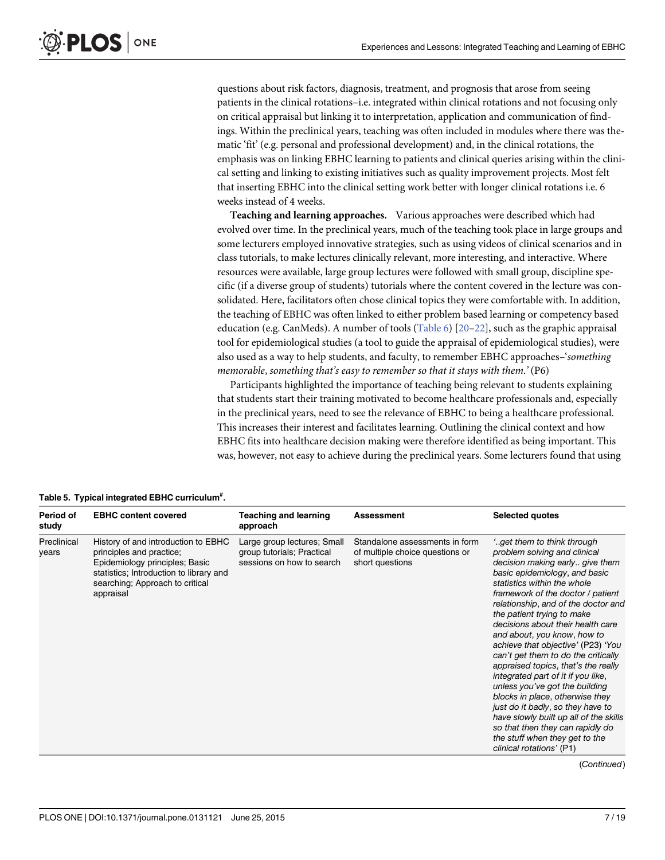<span id="page-6-0"></span>questions about risk factors, diagnosis, treatment, and prognosis that arose from seeing patients in the clinical rotations–i.e. integrated within clinical rotations and not focusing only on critical appraisal but linking it to interpretation, application and communication of findings. Within the preclinical years, teaching was often included in modules where there was thematic 'fit' (e.g. personal and professional development) and, in the clinical rotations, the emphasis was on linking EBHC learning to patients and clinical queries arising within the clinical setting and linking to existing initiatives such as quality improvement projects. Most felt that inserting EBHC into the clinical setting work better with longer clinical rotations i.e. 6 weeks instead of 4 weeks.

Teaching and learning approaches. Various approaches were described which had evolved over time. In the preclinical years, much of the teaching took place in large groups and some lecturers employed innovative strategies, such as using videos of clinical scenarios and in class tutorials, to make lectures clinically relevant, more interesting, and interactive. Where resources were available, large group lectures were followed with small group, discipline specific (if a diverse group of students) tutorials where the content covered in the lecture was consolidated. Here, facilitators often chose clinical topics they were comfortable with. In addition, the teaching of EBHC was often linked to either problem based learning or competency based education (e.g. CanMeds). A number of tools [\(Table 6](#page-8-0))  $[20-22]$  $[20-22]$  $[20-22]$ , such as the graphic appraisal tool for epidemiological studies (a tool to guide the appraisal of epidemiological studies), were also used as a way to help students, and faculty, to remember EBHC approaches-'something memorable, something that's easy to remember so that it stays with them.' (P6)

Participants highlighted the importance of teaching being relevant to students explaining that students start their training motivated to become healthcare professionals and, especially in the preclinical years, need to see the relevance of EBHC to being a healthcare professional. This increases their interest and facilitates learning. Outlining the clinical context and how EBHC fits into healthcare decision making were therefore identified as being important. This was, however, not easy to achieve during the preclinical years. Some lecturers found that using

| Period of<br>study   | <b>EBHC content covered</b>                                                                                                                                                                  | <b>Teaching and learning</b><br>approach                                               | <b>Assessment</b>                                                                    | Selected quotes                                                                                                                                                                                                                                                                                                                                                                                                                                                                                                                                                                                                                                                                                                                                           |
|----------------------|----------------------------------------------------------------------------------------------------------------------------------------------------------------------------------------------|----------------------------------------------------------------------------------------|--------------------------------------------------------------------------------------|-----------------------------------------------------------------------------------------------------------------------------------------------------------------------------------------------------------------------------------------------------------------------------------------------------------------------------------------------------------------------------------------------------------------------------------------------------------------------------------------------------------------------------------------------------------------------------------------------------------------------------------------------------------------------------------------------------------------------------------------------------------|
| Preclinical<br>years | History of and introduction to EBHC<br>principles and practice;<br>Epidemiology principles; Basic<br>statistics; Introduction to library and<br>searching; Approach to critical<br>appraisal | Large group lectures; Small<br>group tutorials; Practical<br>sessions on how to search | Standalone assessments in form<br>of multiple choice questions or<br>short questions | et them to think through<br>problem solving and clinical<br>decision making early give them<br>basic epidemiology, and basic<br>statistics within the whole<br>framework of the doctor / patient<br>relationship, and of the doctor and<br>the patient trying to make<br>decisions about their health care<br>and about, you know, how to<br>achieve that objective' (P23) 'You<br>can't get them to do the critically<br>appraised topics, that's the really<br>integrated part of it if you like,<br>unless you've got the building<br>blocks in place, otherwise they<br>just do it badly, so they have to<br>have slowly built up all of the skills<br>so that then they can rapidly do<br>the stuff when they get to the<br>clinical rotations' (P1) |
|                      |                                                                                                                                                                                              |                                                                                        |                                                                                      | (Continued)                                                                                                                                                                                                                                                                                                                                                                                                                                                                                                                                                                                                                                                                                                                                               |

|  |  | Table 5. Typical integrated EBHC curriculum <sup>#</sup> . |  |
|--|--|------------------------------------------------------------|--|
|  |  |                                                            |  |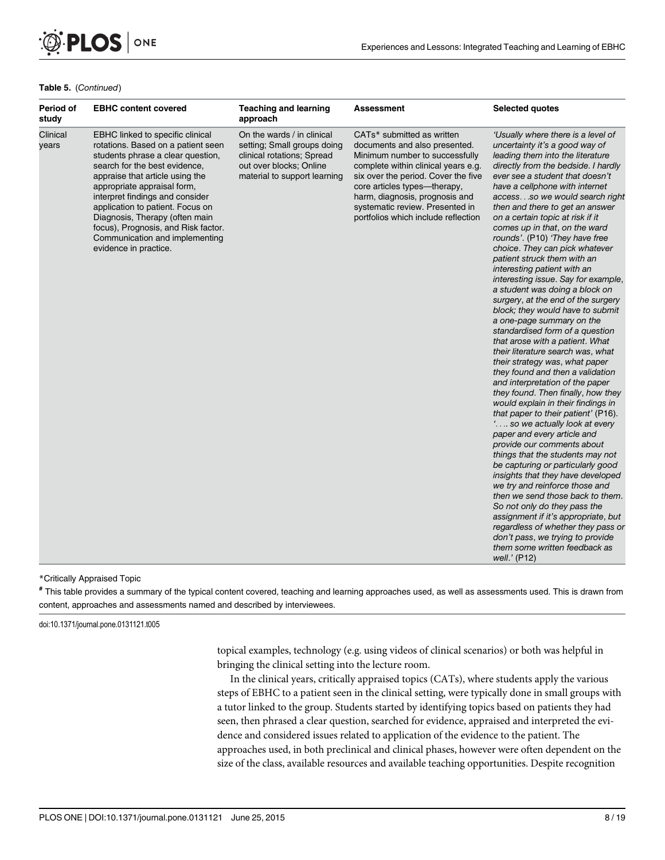#### Table 5. (Continued)

**PLOS** I

ONE

| Period of<br>study | <b>EBHC content covered</b>                                                                                                                                                                                                                                                                                                                                                                                               | <b>Teaching and learning</b><br>approach                                                                                                           | <b>Assessment</b>                                                                                                                                                                                                                                                                                                       | Selected quotes                                                                                                                                                                                                                                                                                                                                                                                                                                                                                                                                                                                                                                                                                                                                                                                                                                                                                                                                                                                                                                                                                                                                                                                                                                                                                                                                                                                                                                                                                                     |
|--------------------|---------------------------------------------------------------------------------------------------------------------------------------------------------------------------------------------------------------------------------------------------------------------------------------------------------------------------------------------------------------------------------------------------------------------------|----------------------------------------------------------------------------------------------------------------------------------------------------|-------------------------------------------------------------------------------------------------------------------------------------------------------------------------------------------------------------------------------------------------------------------------------------------------------------------------|---------------------------------------------------------------------------------------------------------------------------------------------------------------------------------------------------------------------------------------------------------------------------------------------------------------------------------------------------------------------------------------------------------------------------------------------------------------------------------------------------------------------------------------------------------------------------------------------------------------------------------------------------------------------------------------------------------------------------------------------------------------------------------------------------------------------------------------------------------------------------------------------------------------------------------------------------------------------------------------------------------------------------------------------------------------------------------------------------------------------------------------------------------------------------------------------------------------------------------------------------------------------------------------------------------------------------------------------------------------------------------------------------------------------------------------------------------------------------------------------------------------------|
| Clinical<br>years  | EBHC linked to specific clinical<br>rotations. Based on a patient seen<br>students phrase a clear question,<br>search for the best evidence,<br>appraise that article using the<br>appropriate appraisal form,<br>interpret findings and consider<br>application to patient. Focus on<br>Diagnosis, Therapy (often main<br>focus), Prognosis, and Risk factor.<br>Communication and implementing<br>evidence in practice. | On the wards / in clinical<br>setting; Small groups doing<br>clinical rotations; Spread<br>out over blocks; Online<br>material to support learning | CATs* submitted as written<br>documents and also presented.<br>Minimum number to successfully<br>complete within clinical years e.g.<br>six over the period. Cover the five<br>core articles types-therapy,<br>harm, diagnosis, prognosis and<br>systematic review. Presented in<br>portfolios which include reflection | 'Usually where there is a level of<br>uncertainty it's a good way of<br>leading them into the literature<br>directly from the bedside. I hardly<br>ever see a student that doesn't<br>have a cellphone with internet<br>accessso we would search right<br>then and there to get an answer<br>on a certain topic at risk if it<br>comes up in that, on the ward<br>rounds'. (P10) 'They have free<br>choice. They can pick whatever<br>patient struck them with an<br>interesting patient with an<br>interesting issue. Say for example,<br>a student was doing a block on<br>surgery, at the end of the surgery<br>block; they would have to submit<br>a one-page summary on the<br>standardised form of a question<br>that arose with a patient. What<br>their literature search was, what<br>their strategy was, what paper<br>they found and then a validation<br>and interpretation of the paper<br>they found. Then finally, how they<br>would explain in their findings in<br>that paper to their patient' (P16).<br>" so we actually look at every<br>paper and every article and<br>provide our comments about<br>things that the students may not<br>be capturing or particularly good<br>insights that they have developed<br>we try and reinforce those and<br>then we send those back to them.<br>So not only do they pass the<br>assignment if it's appropriate, but<br>regardless of whether they pass or<br>don't pass, we trying to provide<br>them some written feedback as<br><i>well.'</i> (P12) |

\*Critically Appraised Topic

# This table provides a summary of the typical content covered, teaching and learning approaches used, as well as assessments used. This is drawn from content, approaches and assessments named and described by interviewees.

doi:10.1371/journal.pone.0131121.t005

topical examples, technology (e.g. using videos of clinical scenarios) or both was helpful in bringing the clinical setting into the lecture room.

In the clinical years, critically appraised topics (CATs), where students apply the various steps of EBHC to a patient seen in the clinical setting, were typically done in small groups with a tutor linked to the group. Students started by identifying topics based on patients they had seen, then phrased a clear question, searched for evidence, appraised and interpreted the evidence and considered issues related to application of the evidence to the patient. The approaches used, in both preclinical and clinical phases, however were often dependent on the size of the class, available resources and available teaching opportunities. Despite recognition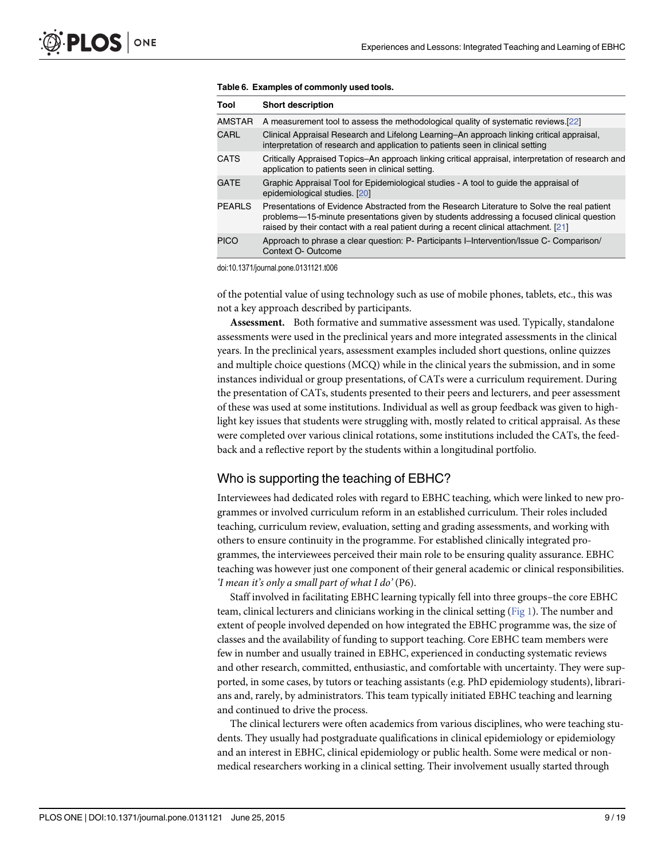| Tool          | <b>Short description</b>                                                                                                                                                                                                                                                          |
|---------------|-----------------------------------------------------------------------------------------------------------------------------------------------------------------------------------------------------------------------------------------------------------------------------------|
| <b>AMSTAR</b> | A measurement tool to assess the methodological quality of systematic reviews. [22]                                                                                                                                                                                               |
| CARL          | Clinical Appraisal Research and Lifelong Learning–An approach linking critical appraisal.<br>interpretation of research and application to patients seen in clinical setting                                                                                                      |
| <b>CATS</b>   | Critically Appraised Topics–An approach linking critical appraisal, interpretation of research and<br>application to patients seen in clinical setting.                                                                                                                           |
| GATE          | Graphic Appraisal Tool for Epidemiological studies - A tool to guide the appraisal of<br>epidemiological studies. [20]                                                                                                                                                            |
| <b>PEARLS</b> | Presentations of Evidence Abstracted from the Research Literature to Solve the real patient<br>problems-15-minute presentations given by students addressing a focused clinical question<br>raised by their contact with a real patient during a recent clinical attachment. [21] |
| <b>PICO</b>   | Approach to phrase a clear question: P- Participants I-Intervention/Issue C- Comparison/<br>Context O- Outcome                                                                                                                                                                    |

#### <span id="page-8-0"></span>[Table 6.](#page-6-0) Examples of commonly used tools.

doi:10.1371/journal.pone.0131121.t006

of the potential value of using technology such as use of mobile phones, tablets, etc., this was not a key approach described by participants.

Assessment. Both formative and summative assessment was used. Typically, standalone assessments were used in the preclinical years and more integrated assessments in the clinical years. In the preclinical years, assessment examples included short questions, online quizzes and multiple choice questions (MCQ) while in the clinical years the submission, and in some instances individual or group presentations, of CATs were a curriculum requirement. During the presentation of CATs, students presented to their peers and lecturers, and peer assessment of these was used at some institutions. Individual as well as group feedback was given to highlight key issues that students were struggling with, mostly related to critical appraisal. As these were completed over various clinical rotations, some institutions included the CATs, the feedback and a reflective report by the students within a longitudinal portfolio.

# Who is supporting the teaching of EBHC?

Interviewees had dedicated roles with regard to EBHC teaching, which were linked to new programmes or involved curriculum reform in an established curriculum. Their roles included teaching, curriculum review, evaluation, setting and grading assessments, and working with others to ensure continuity in the programme. For established clinically integrated programmes, the interviewees perceived their main role to be ensuring quality assurance. EBHC teaching was however just one component of their general academic or clinical responsibilities. 'I mean it's only a small part of what I do' (P6).

Staff involved in facilitating EBHC learning typically fell into three groups–the core EBHC team, clinical lecturers and clinicians working in the clinical setting ([Fig 1](#page-9-0)). The number and extent of people involved depended on how integrated the EBHC programme was, the size of classes and the availability of funding to support teaching. Core EBHC team members were few in number and usually trained in EBHC, experienced in conducting systematic reviews and other research, committed, enthusiastic, and comfortable with uncertainty. They were supported, in some cases, by tutors or teaching assistants (e.g. PhD epidemiology students), librarians and, rarely, by administrators. This team typically initiated EBHC teaching and learning and continued to drive the process.

The clinical lecturers were often academics from various disciplines, who were teaching students. They usually had postgraduate qualifications in clinical epidemiology or epidemiology and an interest in EBHC, clinical epidemiology or public health. Some were medical or nonmedical researchers working in a clinical setting. Their involvement usually started through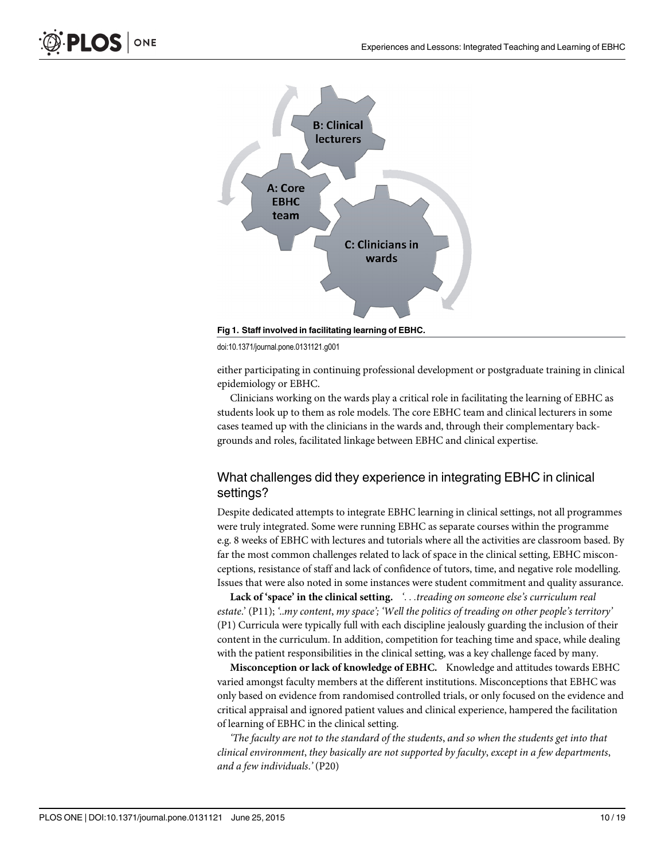<span id="page-9-0"></span>



[Fig 1. S](#page-8-0)taff involved in facilitating learning of EBHC.

doi:10.1371/journal.pone.0131121.g001

either participating in continuing professional development or postgraduate training in clinical epidemiology or EBHC.

Clinicians working on the wards play a critical role in facilitating the learning of EBHC as students look up to them as role models. The core EBHC team and clinical lecturers in some cases teamed up with the clinicians in the wards and, through their complementary backgrounds and roles, facilitated linkage between EBHC and clinical expertise.

# What challenges did they experience in integrating EBHC in clinical settings?

Despite dedicated attempts to integrate EBHC learning in clinical settings, not all programmes were truly integrated. Some were running EBHC as separate courses within the programme e.g. 8 weeks of EBHC with lectures and tutorials where all the activities are classroom based. By far the most common challenges related to lack of space in the clinical setting, EBHC misconceptions, resistance of staff and lack of confidence of tutors, time, and negative role modelling. Issues that were also noted in some instances were student commitment and quality assurance.

Lack of 'space' in the clinical setting. '...treading on someone else's curriculum real estate.' (P11); '..my content, my space'; 'Well the politics of treading on other people's territory' (P1) Curricula were typically full with each discipline jealously guarding the inclusion of their content in the curriculum. In addition, competition for teaching time and space, while dealing with the patient responsibilities in the clinical setting, was a key challenge faced by many.

Misconception or lack of knowledge of EBHC. Knowledge and attitudes towards EBHC varied amongst faculty members at the different institutions. Misconceptions that EBHC was only based on evidence from randomised controlled trials, or only focused on the evidence and critical appraisal and ignored patient values and clinical experience, hampered the facilitation of learning of EBHC in the clinical setting.

'The faculty are not to the standard of the students, and so when the students get into that clinical environment, they basically are not supported by faculty, except in a few departments, and a few individuals.' (P20)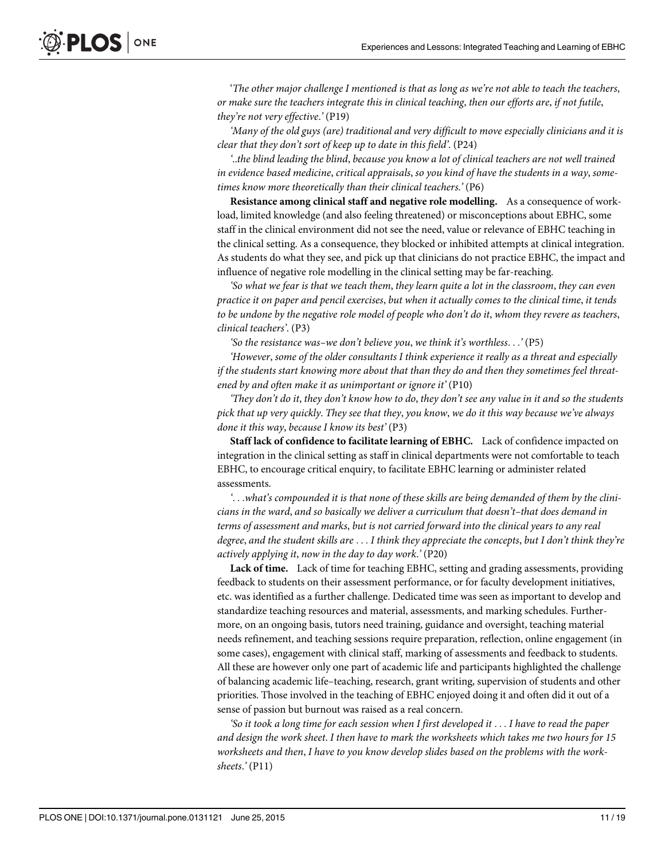'The other major challenge I mentioned is that as long as we're not able to teach the teachers, or make sure the teachers integrate this in clinical teaching, then our efforts are, if not futile, they're not very effective.' (P19)

'Many of the old guys (are) traditional and very difficult to move especially clinicians and it is clear that they don't sort of keep up to date in this field'. (P24)

'..the blind leading the blind, because you know a lot of clinical teachers are not well trained in evidence based medicine, critical appraisals, so you kind of have the students in a way, sometimes know more theoretically than their clinical teachers.' (P6)

Resistance among clinical staff and negative role modelling. As a consequence of workload, limited knowledge (and also feeling threatened) or misconceptions about EBHC, some staff in the clinical environment did not see the need, value or relevance of EBHC teaching in the clinical setting. As a consequence, they blocked or inhibited attempts at clinical integration. As students do what they see, and pick up that clinicians do not practice EBHC, the impact and influence of negative role modelling in the clinical setting may be far-reaching.

'So what we fear is that we teach them, they learn quite a lot in the classroom, they can even practice it on paper and pencil exercises, but when it actually comes to the clinical time, it tends to be undone by the negative role model of people who don't do it, whom they revere as teachers, clinical teachers'. (P3)

'So the resistance was–we don't believe you, we think it's worthless...' (P5)

'However, some of the older consultants I think experience it really as a threat and especially if the students start knowing more about that than they do and then they sometimes feel threatened by and often make it as unimportant or ignore it' (P10)

'They don't do it, they don't know how to do, they don't see any value in it and so the students pick that up very quickly. They see that they, you know, we do it this way because we've always done it this way, because I know its best' (P3)

Staff lack of confidence to facilitate learning of EBHC. Lack of confidence impacted on integration in the clinical setting as staff in clinical departments were not comfortable to teach EBHC, to encourage critical enquiry, to facilitate EBHC learning or administer related assessments.

'...what's compounded it is that none of these skills are being demanded of them by the clinicians in the ward, and so basically we deliver a curriculum that doesn't–that does demand in terms of assessment and marks, but is not carried forward into the clinical years to any real degree, and the student skills are ... I think they appreciate the concepts, but I don't think they're actively applying it, now in the day to day work.' (P20)

Lack of time. Lack of time for teaching EBHC, setting and grading assessments, providing feedback to students on their assessment performance, or for faculty development initiatives, etc. was identified as a further challenge. Dedicated time was seen as important to develop and standardize teaching resources and material, assessments, and marking schedules. Furthermore, on an ongoing basis, tutors need training, guidance and oversight, teaching material needs refinement, and teaching sessions require preparation, reflection, online engagement (in some cases), engagement with clinical staff, marking of assessments and feedback to students. All these are however only one part of academic life and participants highlighted the challenge of balancing academic life–teaching, research, grant writing, supervision of students and other priorities. Those involved in the teaching of EBHC enjoyed doing it and often did it out of a sense of passion but burnout was raised as a real concern.

'So it took a long time for each session when I first developed it ... I have to read the paper and design the work sheet. I then have to mark the worksheets which takes me two hours for 15 worksheets and then, I have to you know develop slides based on the problems with the worksheets.' (P11)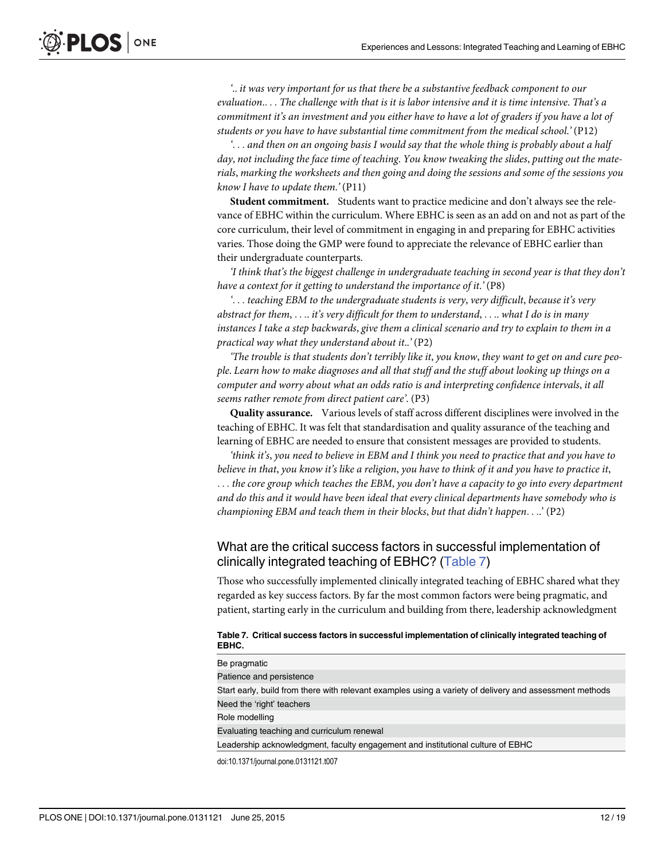'.. it was very important for us that there be a substantive feedback component to our evaluation.... The challenge with that is it is labor intensive and it is time intensive. That's a commitment it's an investment and you either have to have a lot of graders if you have a lot of students or you have to have substantial time commitment from the medical school.' (P12)

'... and then on an ongoing basis I would say that the whole thing is probably about a half day, not including the face time of teaching. You know tweaking the slides, putting out the materials, marking the worksheets and then going and doing the sessions and some of the sessions you know I have to update them.' (P11)

Student commitment. Students want to practice medicine and don't always see the relevance of EBHC within the curriculum. Where EBHC is seen as an add on and not as part of the core curriculum, their level of commitment in engaging in and preparing for EBHC activities varies. Those doing the GMP were found to appreciate the relevance of EBHC earlier than their undergraduate counterparts.

'I think that's the biggest challenge in undergraduate teaching in second year is that they don't have a context for it getting to understand the importance of it.' (P8)

'... teaching EBM to the undergraduate students is very, very difficult, because it's very abstract for them, .... it's very difficult for them to understand, .... what I do is in many instances I take a step backwards, give them a clinical scenario and try to explain to them in a practical way what they understand about it..' (P2)

'The trouble is that students don't terribly like it, you know, they want to get on and cure people. Learn how to make diagnoses and all that stuff and the stuff about looking up things on a computer and worry about what an odds ratio is and interpreting confidence intervals, it all seems rather remote from direct patient care'. (P3)

Quality assurance. Various levels of staff across different disciplines were involved in the teaching of EBHC. It was felt that standardisation and quality assurance of the teaching and learning of EBHC are needed to ensure that consistent messages are provided to students.

'think it's, you need to believe in EBM and I think you need to practice that and you have to believe in that, you know it's like a religion, you have to think of it and you have to practice it, ... the core group which teaches the EBM, you don't have a capacity to go into every department and do this and it would have been ideal that every clinical departments have somebody who is championing EBM and teach them in their blocks, but that didn't happen....' (P2)

# What are the critical success factors in successful implementation of clinically integrated teaching of EBHC?  $(Table 7)$

Those who successfully implemented clinically integrated teaching of EBHC shared what they regarded as key success factors. By far the most common factors were being pragmatic, and patient, starting early in the curriculum and building from there, leadership acknowledgment

#### Table 7. Critical success factors in successful implementation of clinically integrated teaching of EBHC.

Be pragmatic Patience and persistence Start early, build from there with relevant examples using a variety of delivery and assessment methods Need the 'right' teachers Role modelling Evaluating teaching and curriculum renewal Leadership acknowledgment, faculty engagement and institutional culture of EBHC

doi:10.1371/journal.pone.0131121.t007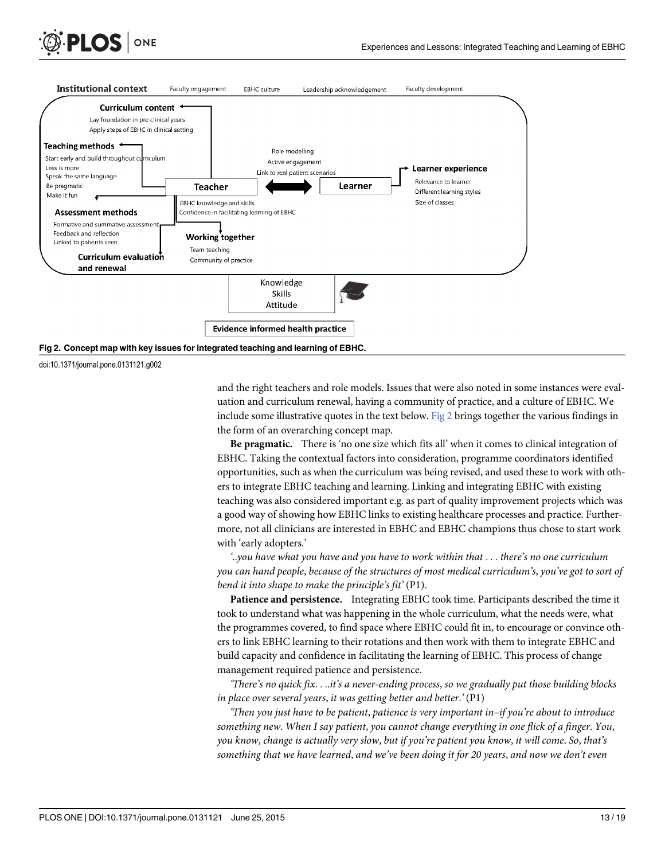

doi:10.1371/journal.pone.0131121.g002

and the right teachers and role models. Issues that were also noted in some instances were evaluation and curriculum renewal, having a community of practice, and a culture of EBHC. We include some illustrative quotes in the text below. Fig  $2$  brings together the various findings in the form of an overarching concept map.

Be pragmatic. There is 'no one size which fits all' when it comes to clinical integration of EBHC. Taking the contextual factors into consideration, programme coordinators identified opportunities, such as when the curriculum was being revised, and used these to work with others to integrate EBHC teaching and learning. Linking and integrating EBHC with existing teaching was also considered important e.g. as part of quality improvement projects which was a good way of showing how EBHC links to existing healthcare processes and practice. Furthermore, not all clinicians are interested in EBHC and EBHC champions thus chose to start work with 'early adopters.'

'..you have what you have and you have to work within that ... there's no one curriculum you can hand people, because of the structures of most medical curriculum's, you've got to sort of bend it into shape to make the principle's fit' (P1).

Patience and persistence. Integrating EBHC took time. Participants described the time it took to understand what was happening in the whole curriculum, what the needs were, what the programmes covered, to find space where EBHC could fit in, to encourage or convince others to link EBHC learning to their rotations and then work with them to integrate EBHC and build capacity and confidence in facilitating the learning of EBHC. This process of change management required patience and persistence.

'There's no quick fix....it's a never-ending process, so we gradually put those building blocks in place over several years, it was getting better and better.' (P1)

'Then you just have to be patient, patience is very important in–if you're about to introduce something new. When I say patient, you cannot change everything in one flick of a finger. You, you know, change is actually very slow, but if you're patient you know, it will come. So, that's something that we have learned, and we've been doing it for 20 years, and now we don't even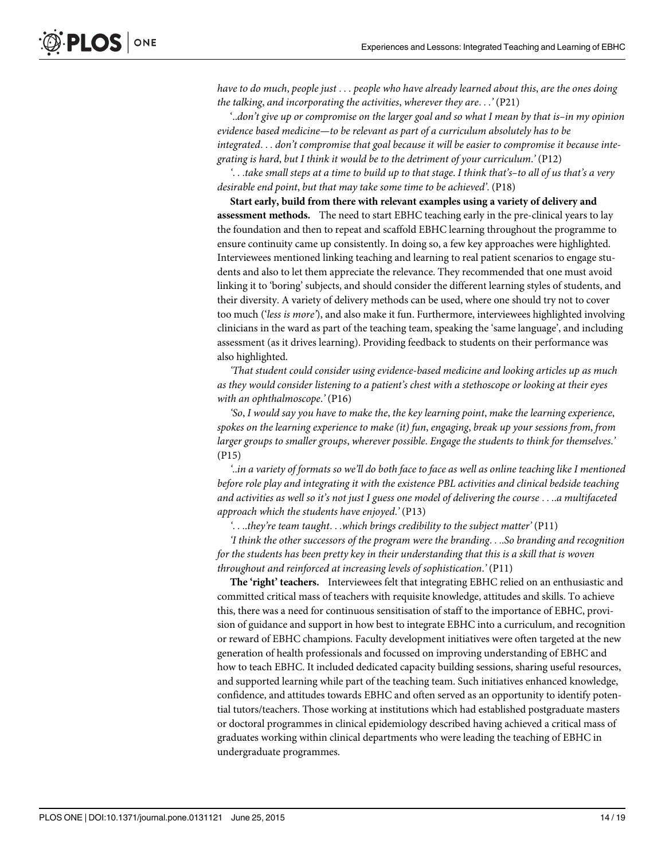have to do much, people just ... people who have already learned about this, are the ones doing the talking, and incorporating the activities, wherever they are...' (P21)

'..don't give up or compromise on the larger goal and so what I mean by that is–in my opinion evidence based medicine—to be relevant as part of a curriculum absolutely has to be integrated... don't compromise that goal because it will be easier to compromise it because integrating is hard, but I think it would be to the detriment of your curriculum.' (P12)

'...take small steps at a time to build up to that stage. I think that's–to all of us that's a very desirable end point, but that may take some time to be achieved'. (P18)

Start early, build from there with relevant examples using a variety of delivery and assessment methods. The need to start EBHC teaching early in the pre-clinical years to lay the foundation and then to repeat and scaffold EBHC learning throughout the programme to ensure continuity came up consistently. In doing so, a few key approaches were highlighted. Interviewees mentioned linking teaching and learning to real patient scenarios to engage students and also to let them appreciate the relevance. They recommended that one must avoid linking it to 'boring' subjects, and should consider the different learning styles of students, and their diversity. A variety of delivery methods can be used, where one should try not to cover too much ('less is more'), and also make it fun. Furthermore, interviewees highlighted involving clinicians in the ward as part of the teaching team, speaking the 'same language', and including assessment (as it drives learning). Providing feedback to students on their performance was also highlighted.

'That student could consider using evidence-based medicine and looking articles up as much as they would consider listening to a patient's chest with a stethoscope or looking at their eyes with an ophthalmoscope.' (P16)

'So, I would say you have to make the, the key learning point, make the learning experience, spokes on the learning experience to make (it) fun, engaging, break up your sessions from, from larger groups to smaller groups, wherever possible. Engage the students to think for themselves.' (P15)

'..in a variety of formats so we'll do both face to face as well as online teaching like I mentioned before role play and integrating it with the existence PBL activities and clinical bedside teaching and activities as well so it's not just I guess one model of delivering the course ....a multifaceted approach which the students have enjoyed.' (P13)

'....they're team taught...which brings credibility to the subject matter' (P11)

'I think the other successors of the program were the branding....So branding and recognition for the students has been pretty key in their understanding that this is a skill that is woven throughout and reinforced at increasing levels of sophistication.' (P11)

The 'right' teachers. Interviewees felt that integrating EBHC relied on an enthusiastic and committed critical mass of teachers with requisite knowledge, attitudes and skills. To achieve this, there was a need for continuous sensitisation of staff to the importance of EBHC, provision of guidance and support in how best to integrate EBHC into a curriculum, and recognition or reward of EBHC champions. Faculty development initiatives were often targeted at the new generation of health professionals and focussed on improving understanding of EBHC and how to teach EBHC. It included dedicated capacity building sessions, sharing useful resources, and supported learning while part of the teaching team. Such initiatives enhanced knowledge, confidence, and attitudes towards EBHC and often served as an opportunity to identify potential tutors/teachers. Those working at institutions which had established postgraduate masters or doctoral programmes in clinical epidemiology described having achieved a critical mass of graduates working within clinical departments who were leading the teaching of EBHC in undergraduate programmes.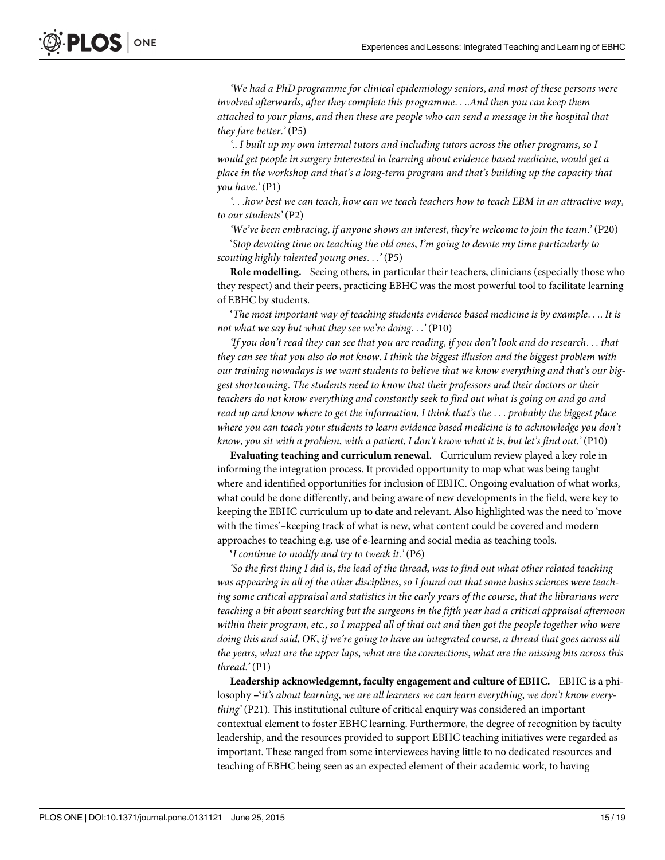'We had a PhD programme for clinical epidemiology seniors, and most of these persons were involved afterwards, after they complete this programme....And then you can keep them attached to your plans, and then these are people who can send a message in the hospital that they fare better.' (P5)

'.. I built up my own internal tutors and including tutors across the other programs, so I would get people in surgery interested in learning about evidence based medicine, would get a place in the workshop and that's a long-term program and that's building up the capacity that you have.' (P1)

'...how best we can teach, how can we teach teachers how to teach EBM in an attractive way, to our students' (P2)

'We've been embracing, if anyone shows an interest, they're welcome to join the team.' (P20) 'Stop devoting time on teaching the old ones, I'm going to devote my time particularly to scouting highly talented young ones...' (P5)

Role modelling. Seeing others, in particular their teachers, clinicians (especially those who they respect) and their peers, practicing EBHC was the most powerful tool to facilitate learning of EBHC by students.

'The most important way of teaching students evidence based medicine is by example.... It is not what we say but what they see we're doing...' (P10)

'If you don't read they can see that you are reading, if you don't look and do research... that they can see that you also do not know. I think the biggest illusion and the biggest problem with our training nowadays is we want students to believe that we know everything and that's our biggest shortcoming. The students need to know that their professors and their doctors or their teachers do not know everything and constantly seek to find out what is going on and go and read up and know where to get the information, I think that's the ... probably the biggest place where you can teach your students to learn evidence based medicine is to acknowledge you don't know, you sit with a problem, with a patient, I don't know what it is, but let's find out.' (P10)

Evaluating teaching and curriculum renewal. Curriculum review played a key role in informing the integration process. It provided opportunity to map what was being taught where and identified opportunities for inclusion of EBHC. Ongoing evaluation of what works, what could be done differently, and being aware of new developments in the field, were key to keeping the EBHC curriculum up to date and relevant. Also highlighted was the need to 'move with the times'–keeping track of what is new, what content could be covered and modern approaches to teaching e.g. use of e-learning and social media as teaching tools.

'I continue to modify and try to tweak it.' (P6)

'So the first thing I did is, the lead of the thread, was to find out what other related teaching was appearing in all of the other disciplines, so I found out that some basics sciences were teaching some critical appraisal and statistics in the early years of the course, that the librarians were teaching a bit about searching but the surgeons in the fifth year had a critical appraisal afternoon within their program, etc., so I mapped all of that out and then got the people together who were doing this and said, OK, if we're going to have an integrated course, a thread that goes across all the years, what are the upper laps, what are the connections, what are the missing bits across this thread.' (P1)

Leadership acknowledgemnt, faculty engagement and culture of EBHC. EBHC is a philosophy –'it's about learning, we are all learners we can learn everything, we don't know everything' (P21). This institutional culture of critical enquiry was considered an important contextual element to foster EBHC learning. Furthermore, the degree of recognition by faculty leadership, and the resources provided to support EBHC teaching initiatives were regarded as important. These ranged from some interviewees having little to no dedicated resources and teaching of EBHC being seen as an expected element of their academic work, to having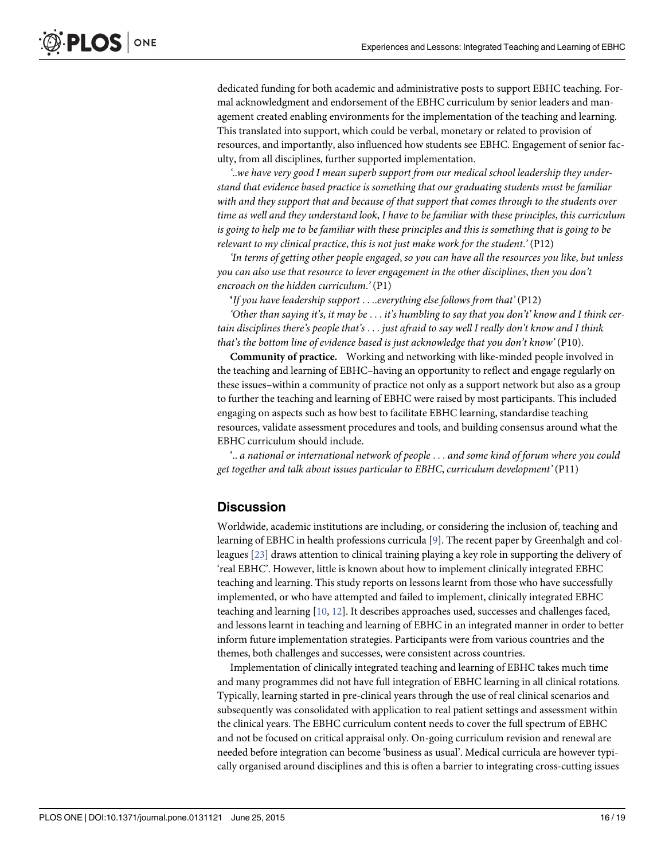<span id="page-15-0"></span>dedicated funding for both academic and administrative posts to support EBHC teaching. Formal acknowledgment and endorsement of the EBHC curriculum by senior leaders and management created enabling environments for the implementation of the teaching and learning. This translated into support, which could be verbal, monetary or related to provision of resources, and importantly, also influenced how students see EBHC. Engagement of senior faculty, from all disciplines, further supported implementation.

'..we have very good I mean superb support from our medical school leadership they understand that evidence based practice is something that our graduating students must be familiar with and they support that and because of that support that comes through to the students over time as well and they understand look, I have to be familiar with these principles, this curriculum is going to help me to be familiar with these principles and this is something that is going to be relevant to my clinical practice, this is not just make work for the student.' (P12)

'In terms of getting other people engaged, so you can have all the resources you like, but unless you can also use that resource to lever engagement in the other disciplines, then you don't encroach on the hidden curriculum.' (P1)

'If you have leadership support ....everything else follows from that' (P12)

'Other than saying it's, it may be ... it's humbling to say that you don't' know and I think certain disciplines there's people that's ... just afraid to say well I really don't know and I think that's the bottom line of evidence based is just acknowledge that you don't know' (P10).

Community of practice. Working and networking with like-minded people involved in the teaching and learning of EBHC–having an opportunity to reflect and engage regularly on these issues–within a community of practice not only as a support network but also as a group to further the teaching and learning of EBHC were raised by most participants. This included engaging on aspects such as how best to facilitate EBHC learning, standardise teaching resources, validate assessment procedures and tools, and building consensus around what the EBHC curriculum should include.

'.. a national or international network of people ... and some kind of forum where you could get together and talk about issues particular to EBHC, curriculum development' (P11)

# **Discussion**

Worldwide, academic institutions are including, or considering the inclusion of, teaching and learning of EBHC in health professions curricula [\[9](#page-17-0)]. The recent paper by Greenhalgh and colleagues [\[23\]](#page-18-0) draws attention to clinical training playing a key role in supporting the delivery of 'real EBHC'. However, little is known about how to implement clinically integrated EBHC teaching and learning. This study reports on lessons learnt from those who have successfully implemented, or who have attempted and failed to implement, clinically integrated EBHC teaching and learning [\[10](#page-17-0), [12](#page-18-0)]. It describes approaches used, successes and challenges faced, and lessons learnt in teaching and learning of EBHC in an integrated manner in order to better inform future implementation strategies. Participants were from various countries and the themes, both challenges and successes, were consistent across countries.

Implementation of clinically integrated teaching and learning of EBHC takes much time and many programmes did not have full integration of EBHC learning in all clinical rotations. Typically, learning started in pre-clinical years through the use of real clinical scenarios and subsequently was consolidated with application to real patient settings and assessment within the clinical years. The EBHC curriculum content needs to cover the full spectrum of EBHC and not be focused on critical appraisal only. On-going curriculum revision and renewal are needed before integration can become 'business as usual'. Medical curricula are however typically organised around disciplines and this is often a barrier to integrating cross-cutting issues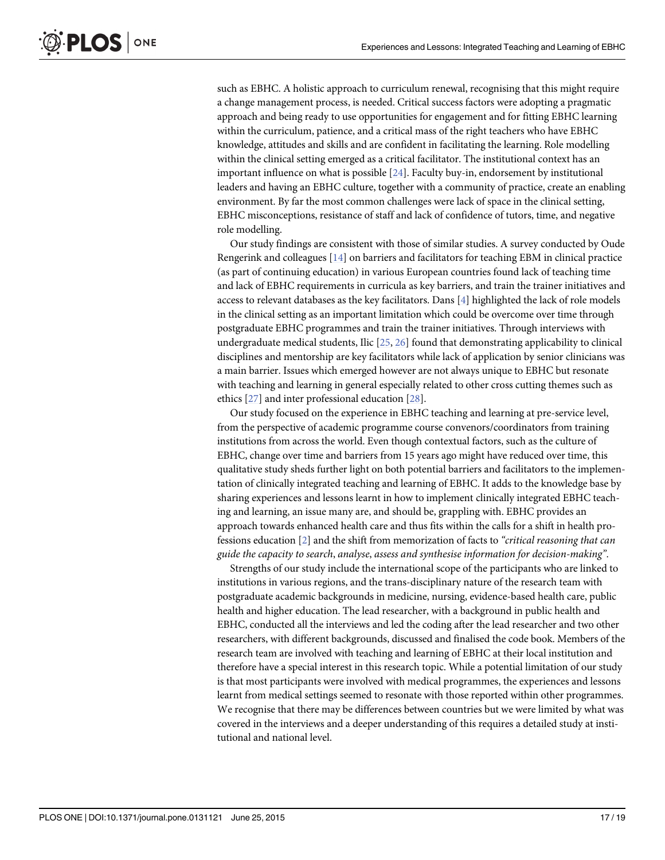<span id="page-16-0"></span>such as EBHC. A holistic approach to curriculum renewal, recognising that this might require a change management process, is needed. Critical success factors were adopting a pragmatic approach and being ready to use opportunities for engagement and for fitting EBHC learning within the curriculum, patience, and a critical mass of the right teachers who have EBHC knowledge, attitudes and skills and are confident in facilitating the learning. Role modelling within the clinical setting emerged as a critical facilitator. The institutional context has an important influence on what is possible [[24](#page-18-0)]. Faculty buy-in, endorsement by institutional leaders and having an EBHC culture, together with a community of practice, create an enabling environment. By far the most common challenges were lack of space in the clinical setting, EBHC misconceptions, resistance of staff and lack of confidence of tutors, time, and negative role modelling.

Our study findings are consistent with those of similar studies. A survey conducted by Oude Rengerink and colleagues [\[14](#page-18-0)] on barriers and facilitators for teaching EBM in clinical practice (as part of continuing education) in various European countries found lack of teaching time and lack of EBHC requirements in curricula as key barriers, and train the trainer initiatives and access to relevant databases as the key facilitators. Dans [\[4](#page-17-0)] highlighted the lack of role models in the clinical setting as an important limitation which could be overcome over time through postgraduate EBHC programmes and train the trainer initiatives. Through interviews with undergraduate medical students, Ilic [[25](#page-18-0), [26](#page-18-0)] found that demonstrating applicability to clinical disciplines and mentorship are key facilitators while lack of application by senior clinicians was a main barrier. Issues which emerged however are not always unique to EBHC but resonate with teaching and learning in general especially related to other cross cutting themes such as ethics [[27](#page-18-0)] and inter professional education [\[28\]](#page-18-0).

Our study focused on the experience in EBHC teaching and learning at pre-service level, from the perspective of academic programme course convenors/coordinators from training institutions from across the world. Even though contextual factors, such as the culture of EBHC, change over time and barriers from 15 years ago might have reduced over time, this qualitative study sheds further light on both potential barriers and facilitators to the implementation of clinically integrated teaching and learning of EBHC. It adds to the knowledge base by sharing experiences and lessons learnt in how to implement clinically integrated EBHC teaching and learning, an issue many are, and should be, grappling with. EBHC provides an approach towards enhanced health care and thus fits within the calls for a shift in health professions education  $[2]$  and the shift from memorization of facts to "*critical reasoning that can* guide the capacity to search, analyse, assess and synthesise information for decision-making".

Strengths of our study include the international scope of the participants who are linked to institutions in various regions, and the trans-disciplinary nature of the research team with postgraduate academic backgrounds in medicine, nursing, evidence-based health care, public health and higher education. The lead researcher, with a background in public health and EBHC, conducted all the interviews and led the coding after the lead researcher and two other researchers, with different backgrounds, discussed and finalised the code book. Members of the research team are involved with teaching and learning of EBHC at their local institution and therefore have a special interest in this research topic. While a potential limitation of our study is that most participants were involved with medical programmes, the experiences and lessons learnt from medical settings seemed to resonate with those reported within other programmes. We recognise that there may be differences between countries but we were limited by what was covered in the interviews and a deeper understanding of this requires a detailed study at institutional and national level.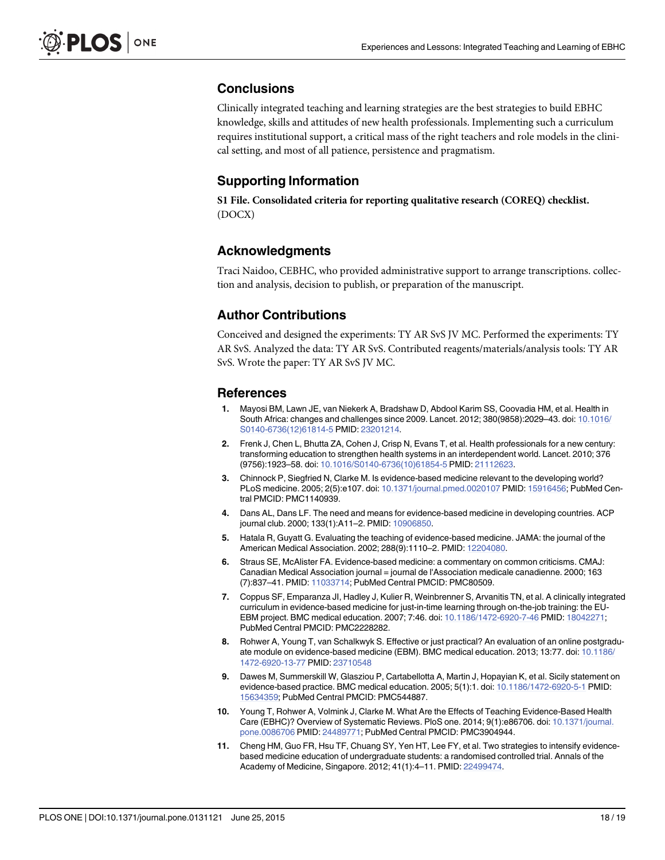# <span id="page-17-0"></span>**Conclusions**

Clinically integrated teaching and learning strategies are the best strategies to build EBHC knowledge, skills and attitudes of new health professionals. Implementing such a curriculum requires institutional support, a critical mass of the right teachers and role models in the clinical setting, and most of all patience, persistence and pragmatism.

# Supporting Information

[S1 File.](http://www.plosone.org/article/fetchSingleRepresentation.action?uri=info:doi/10.1371/journal.pone.0131121.s001) Consolidated criteria for reporting qualitative research (COREQ) checklist. (DOCX)

# Acknowledgments

Traci Naidoo, CEBHC, who provided administrative support to arrange transcriptions. collection and analysis, decision to publish, or preparation of the manuscript.

# Author Contributions

Conceived and designed the experiments: TY AR SvS JV MC. Performed the experiments: TY AR SvS. Analyzed the data: TY AR SvS. Contributed reagents/materials/analysis tools: TY AR SvS. Wrote the paper: TY AR SvS JV MC.

# References

- [1.](#page-1-0) Mayosi BM, Lawn JE, van Niekerk A, Bradshaw D, Abdool Karim SS, Coovadia HM, et al. Health in South Africa: changes and challenges since 2009. Lancet. 2012; 380(9858):2029–43. doi: [10.1016/](http://dx.doi.org/10.1016/S0140-6736(12)61814-5) [S0140-6736\(12\)61814-5](http://dx.doi.org/10.1016/S0140-6736(12)61814-5) PMID: [23201214.](http://www.ncbi.nlm.nih.gov/pubmed/23201214)
- [2.](#page-1-0) Frenk J, Chen L, Bhutta ZA, Cohen J, Crisp N, Evans T, et al. Health professionals for a new century: transforming education to strengthen health systems in an interdependent world. Lancet. 2010; 376 (9756):1923–58. doi: [10.1016/S0140-6736\(10\)61854-5](http://dx.doi.org/10.1016/S0140-6736(10)61854-5) PMID: [21112623.](http://www.ncbi.nlm.nih.gov/pubmed/21112623)
- [3.](#page-1-0) Chinnock P, Siegfried N, Clarke M. Is evidence-based medicine relevant to the developing world? PLoS medicine. 2005; 2(5):e107. doi: [10.1371/journal.pmed.0020107](http://dx.doi.org/10.1371/journal.pmed.0020107) PMID: [15916456](http://www.ncbi.nlm.nih.gov/pubmed/15916456); PubMed Central PMCID: PMC1140939.
- [4.](#page-1-0) Dans AL, Dans LF. The need and means for evidence-based medicine in developing countries. ACP journal club. 2000; 133(1):A11-2. PMID: [10906850](http://www.ncbi.nlm.nih.gov/pubmed/10906850).
- [5.](#page-1-0) Hatala R, Guyatt G. Evaluating the teaching of evidence-based medicine. JAMA: the journal of the American Medical Association. 2002; 288(9):1110–2. PMID: [12204080](http://www.ncbi.nlm.nih.gov/pubmed/12204080).
- [6.](#page-1-0) Straus SE, McAlister FA. Evidence-based medicine: a commentary on common criticisms. CMAJ: Canadian Medical Association journal = journal de l'Association medicale canadienne. 2000; 163 (7):837–41. PMID: [11033714;](http://www.ncbi.nlm.nih.gov/pubmed/11033714) PubMed Central PMCID: PMC80509.
- [7.](#page-1-0) Coppus SF, Emparanza JI, Hadley J, Kulier R, Weinbrenner S, Arvanitis TN, et al. A clinically integrated curriculum in evidence-based medicine for just-in-time learning through on-the-job training: the EU-EBM project. BMC medical education. 2007; 7:46. doi: [10.1186/1472-6920-7-46](http://dx.doi.org/10.1186/1472-6920-7-46) PMID: [18042271](http://www.ncbi.nlm.nih.gov/pubmed/18042271); PubMed Central PMCID: PMC2228282.
- [8.](#page-1-0) Rohwer A, Young T, van Schalkwyk S. Effective or just practical? An evaluation of an online postgraduate module on evidence-based medicine (EBM). BMC medical education. 2013; 13:77. doi: [10.1186/](http://dx.doi.org/10.1186/1472-6920-13-77) [1472-6920-13-77](http://dx.doi.org/10.1186/1472-6920-13-77) PMID: [23710548](http://www.ncbi.nlm.nih.gov/pubmed/23710548)
- [9.](#page-1-0) Dawes M, Summerskill W, Glasziou P, Cartabellotta A, Martin J, Hopayian K, et al. Sicily statement on evidence-based practice. BMC medical education. 2005; 5(1):1. doi: [10.1186/1472-6920-5-1](http://dx.doi.org/10.1186/1472-6920-5-1) PMID: [15634359](http://www.ncbi.nlm.nih.gov/pubmed/15634359); PubMed Central PMCID: PMC544887.
- [10.](#page-1-0) Young T, Rohwer A, Volmink J, Clarke M. What Are the Effects of Teaching Evidence-Based Health Care (EBHC)? Overview of Systematic Reviews. PloS one. 2014; 9(1):e86706. doi: [10.1371/journal.](http://dx.doi.org/10.1371/journal.pone.0086706) [pone.0086706](http://dx.doi.org/10.1371/journal.pone.0086706) PMID: [24489771](http://www.ncbi.nlm.nih.gov/pubmed/24489771); PubMed Central PMCID: PMC3904944.
- [11.](#page-1-0) Cheng HM, Guo FR, Hsu TF, Chuang SY, Yen HT, Lee FY, et al. Two strategies to intensify evidencebased medicine education of undergraduate students: a randomised controlled trial. Annals of the Academy of Medicine, Singapore. 2012; 41(1):4–11. PMID: [22499474](http://www.ncbi.nlm.nih.gov/pubmed/22499474).